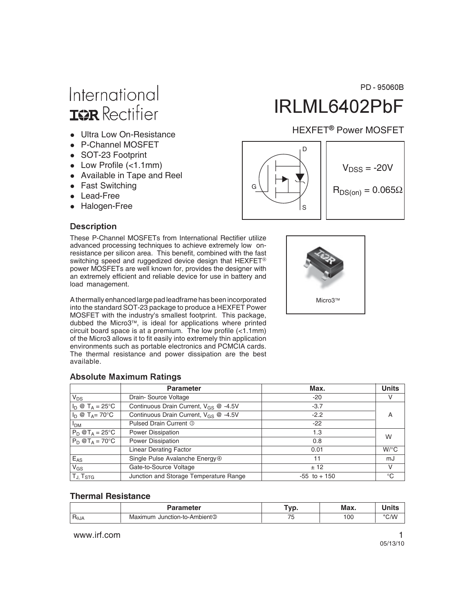# International **ISR** Rectifier

- Ultra Low On-Resistance
- P-Channel MOSFET
- SOT-23 Footprint
- Low Profile (<1.1mm)
- Available in Tape and Reel
- Fast Switching
- Lead-Free
- Halogen-Free

### **Description**

These P-Channel MOSFETs from International Rectifier utilize advanced processing techniques to achieve extremely low onresistance per silicon area. This benefit, combined with the fast switching speed and ruggedized device design that HEXFET<sup>®</sup> power MOSFETs are well known for, provides the designer with an extremely efficient and reliable device for use in battery and load management.

A thermally enhanced large pad leadframe has been incorporated into the standard SOT-23 package to produce a HEXFET Power MOSFET with the industry's smallest footprint. This package, dubbed the Micro3™, is ideal for applications where printed circuit board space is at a premium. The low profile (<1.1mm) of the Micro3 allows it to fit easily into extremely thin application environments such as portable electronics and PCMCIA cards. The thermal resistance and power dissipation are the best available.

### **Absolute Maximum Ratings**

|                                 | <b>Parameter</b>                           | Max.            | <b>Units</b> |  |  |
|---------------------------------|--------------------------------------------|-----------------|--------------|--|--|
| $V_{DS}$                        | Drain-Source Voltage                       | $-20$           | v            |  |  |
| $I_D \otimes T_A = 25^{\circ}C$ | Continuous Drain Current, $V_{GS}$ @ -4.5V | $-3.7$          |              |  |  |
| $I_D \otimes T_A = 70$ °C       | Continuous Drain Current, $V_{GS}$ @ -4.5V | $-2.2$          | А            |  |  |
| <b>I<sub>DM</sub></b>           | Pulsed Drain Current 1                     | $-22$           |              |  |  |
| $P_D @T_A = 25^{\circ}C$        | <b>Power Dissipation</b>                   | 1.3             | W            |  |  |
| $P_D @T_A = 70^\circ C$         | Power Dissipation                          | 0.8             |              |  |  |
|                                 | <b>Linear Derating Factor</b>              | 0.01            | $W$ /°C      |  |  |
| $E_{AS}$                        | Single Pulse Avalanche Energy <sup>®</sup> | 11              | mJ           |  |  |
| $V_{GS}$                        | Gate-to-Source Voltage                     | ± 12            | V            |  |  |
| TJ, T <sub>STG</sub>            | Junction and Storage Temperature Range     | $-55$ to $+150$ | °C           |  |  |

#### **Thermal Resistance**

|                      | Parameter                                       | --- | Max. |       |
|----------------------|-------------------------------------------------|-----|------|-------|
| □<br>$H_{\theta}J_A$ | ل Junction-to-Ambient ◊<br>aximum<br><b>VIG</b> |     | 100  | °C.NA |

www.irf.com **1** 

# IRLML6402PbF

### HEXFET<sup>®</sup> Power MOSFET

PD - 95060B



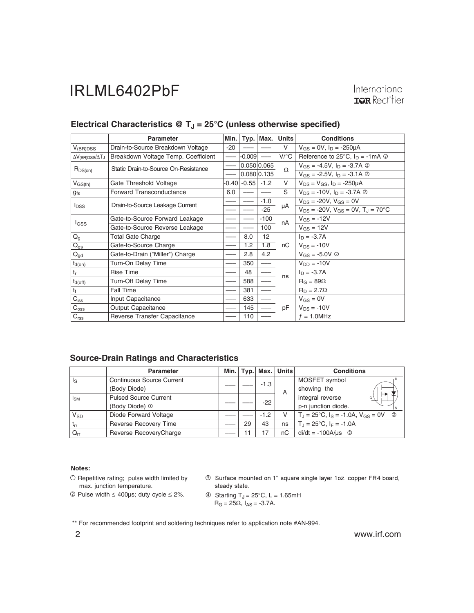International **IOR** Rectifier

|                                 | <b>Parameter</b>                     | Min.  | Typ.    | Max.        | <b>Units</b>       | <b>Conditions</b>                                                 |
|---------------------------------|--------------------------------------|-------|---------|-------------|--------------------|-------------------------------------------------------------------|
| $V_{(BR)DSS}$                   | Drain-to-Source Breakdown Voltage    | -20   |         |             | V                  | $V_{GS} = 0V$ , $I_D = -250 \mu A$                                |
| $\Delta V_{(BR)DSS}/\Delta T_J$ | Breakdown Voltage Temp. Coefficient  |       | -0.009  |             | $V$ / $^{\circ}$ C | Reference to 25 $\degree$ C, $I_D = -1 \text{mA} \textcircled{2}$ |
| $R_{DS(on)}$                    | Static Drain-to-Source On-Resistance |       |         | 0.050 0.065 | Ω                  | $V_{GS} = -4.5V$ , $I_D = -3.7A$ ②                                |
|                                 |                                      |       |         | 0.080 0.135 |                    | $V_{GS} = -2.5V$ , $I_D = -3.1A$ ©                                |
| $V_{GS(th)}$                    | Gate Threshold Voltage               | -0.40 | $-0.55$ | $-1.2$      | V                  | $V_{DS} = V_{GS}$ , $I_D = -250 \mu A$                            |
| $g_{fs}$                        | Forward Transconductance             | 6.0   |         |             | S                  | $V_{DS}$ = -10V, $I_D$ = -3.7A $\circledcirc$                     |
|                                 | Drain-to-Source Leakage Current      |       |         | $-1.0$      |                    | $V_{DS}$ = -20V, $V_{GS}$ = 0V                                    |
| <b>I</b> <sub>DSS</sub>         |                                      |       |         | $-25$       | μA                 | $V_{DS}$ = -20V, $V_{GS}$ = 0V, $T_{J}$ = 70°C                    |
| <b>I</b> GSS                    | Gate-to-Source Forward Leakage       |       |         | $-100$      | nA                 | $V_{GS} = -12V$                                                   |
|                                 | Gate-to-Source Reverse Leakage       |       |         | 100         |                    | $V_{GS} = 12V$                                                    |
| $Q_g$                           | <b>Total Gate Charge</b>             |       | 8.0     | 12          |                    | $I_D = -3.7A$                                                     |
| $Q_{gs}$                        | Gate-to-Source Charge                |       | 1.2     | 1.8         | пC                 | $V_{DS} = -10V$                                                   |
| $\mathsf{Q}_{\mathsf{gd}}$      | Gate-to-Drain ("Miller") Charge      |       | 2.8     | 4.2         |                    | $V_{GS} = -5.0V$ ©                                                |
| $t_{d(on)}$                     | Turn-On Delay Time                   |       | 350     |             |                    | $V_{DD} = -10V$                                                   |
| $t_{r}$                         | <b>Rise Time</b>                     |       | 48      |             | ns                 | $I_D = -3.7A$                                                     |
| $t_{d(off)}$                    | Turn-Off Delay Time                  |       | 588     |             |                    | $R_G = 89\Omega$                                                  |
| tf                              | <b>Fall Time</b>                     |       | 381     |             |                    | $R_D = 2.7\Omega$                                                 |
| $C_{\text{iss}}$                | Input Capacitance                    |       | 633     |             |                    | $V_{GS} = 0V$                                                     |
| $C_{\rm oss}$                   | <b>Output Capacitance</b>            |       | 145     |             | рF                 | $V_{DS} = -10V$                                                   |
| C <sub>rss</sub>                | Reverse Transfer Capacitance         |       | 110     |             |                    | $f = 1.0$ MHz                                                     |

### Electrical Characteristics @ T<sub>J</sub> = 25°C (unless otherwise specified)

#### **Source-Drain Ratings and Characteristics**

|                         | <b>Parameter</b>                 | Min. l |    | Typ.   Max. | <b>Units</b>           | <b>Conditions</b>                                                  |
|-------------------------|----------------------------------|--------|----|-------------|------------------------|--------------------------------------------------------------------|
| $\mathsf{I}_\mathsf{S}$ | <b>Continuous Source Current</b> |        |    | $-1.3$      |                        | MOSFET symbol                                                      |
|                         | (Body Diode)                     |        |    |             | A                      | showing the                                                        |
| $I_{SM}$                | <b>Pulsed Source Current</b>     |        |    |             | integral reverse<br>G) |                                                                    |
|                         | (Body Diode) <sup>1</sup>        |        |    | $-22$       |                        | p-n junction diode.                                                |
| $V_{SD}$                | Diode Forward Voltage            |        |    | $-1.2$      | v                      | $T_{\rm J}$ = 25°C, $I_{\rm S}$ = -1.0A, $V_{\rm GS}$ = 0V $\circ$ |
| $t_{rr}$                | <b>Reverse Recovery Time</b>     |        | 29 | 43          | ns                     | $T_{\rm J} = 25^{\circ}$ C, $I_F = -1.0$ A                         |
| $Q_{rr}$                | Reverse RecoveryCharge           |        | 11 | 7           | nС                     | $di/dt = -100A/\mu s$ <sup>②</sup>                                 |

#### Notes:

 $O$  Repetitive rating; pulse width limited by max. junction temperature.

 $\textcircled{2}$  Pulse width  $\leq 400$ µs; duty cycle  $\leq 2\%$ .

3 Surface mounted on 1" square single layer 1oz. copper FR4 board, steady state.

$$
\textcircled{4} \quad \text{Starting } T_J = 25^{\circ}C, \ L = 1.65 \text{mH}
$$
\n
$$
R_G = 25 \Omega, \ l_{AS} = -3.7 A.
$$

\*\* For recommended footprint and soldering techniques refer to application note #AN-994.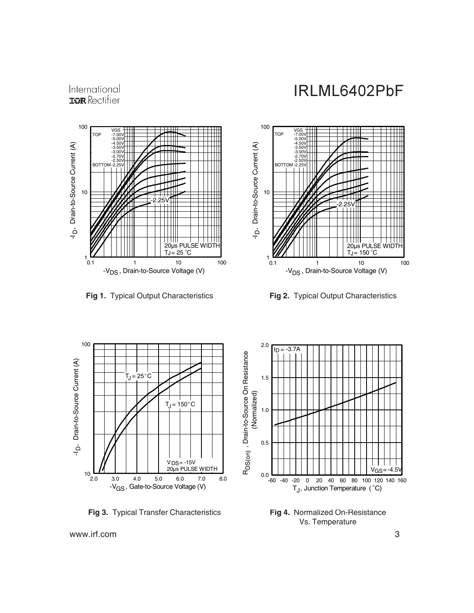

International **IOR** Rectifier

**Fig 1.** Typical Output Characteristics **Fig 2.** Typical Output Characteristics





**Fig 3.** Typical Transfer Characteristics



**Fig 4.** Normalized On-Resistance Vs. Temperature

www.irf.com 3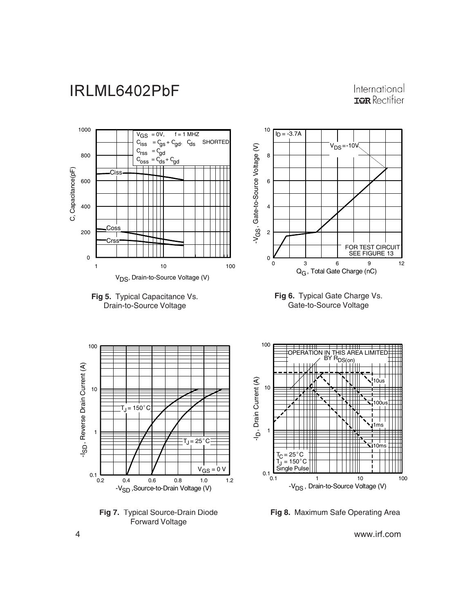### International **IOR** Rectifier



**Fig 8.** Maximum Safe Operating Area

4 www.irf.com

Forward Voltage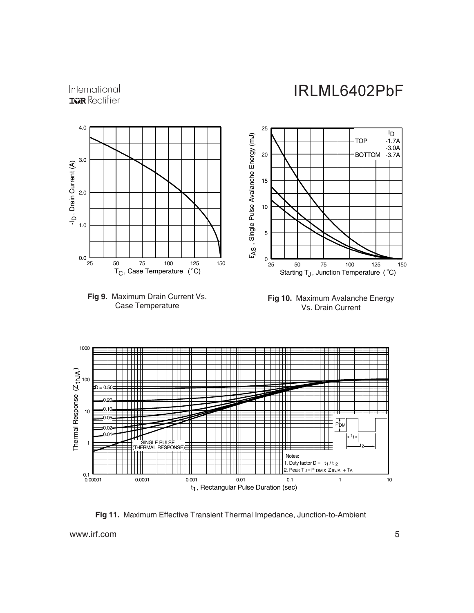



**Fig 11.** Maximum Effective Transient Thermal Impedance, Junction-to-Ambient

www.irf.com 5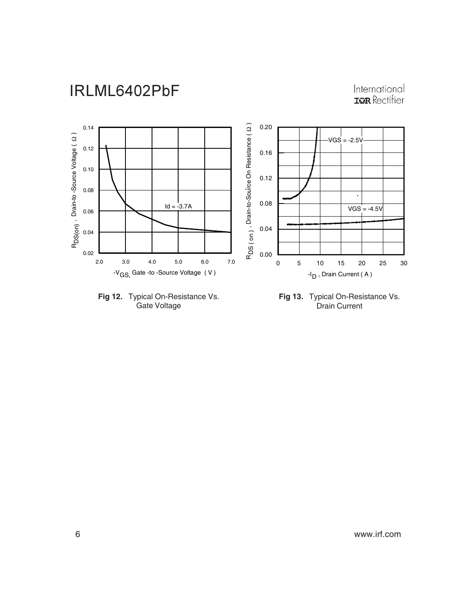# International<br>TRR Rectifier





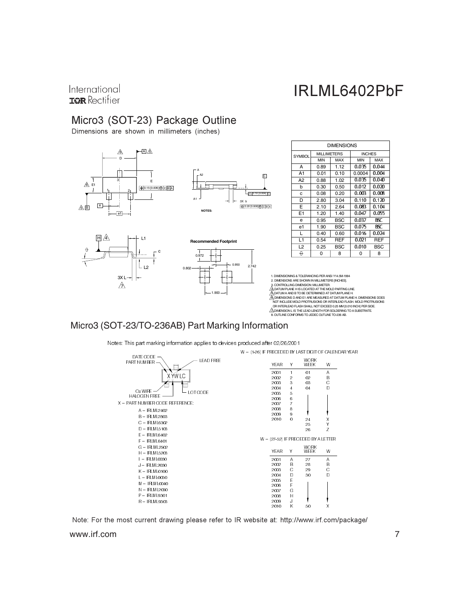### International **IOR** Rectifier

### Micro3 (SOT-23) Package Outline

Dimensions are shown in millimeters (inches)



### Micro3 (SOT-23/TO-236AB) Part Marking Information

Notes: This part marking information applies to devices produced after 02/26/2001



www.irf.com 7 Note: For the most current drawing please refer to IR website at: http://www.irf.com/package/